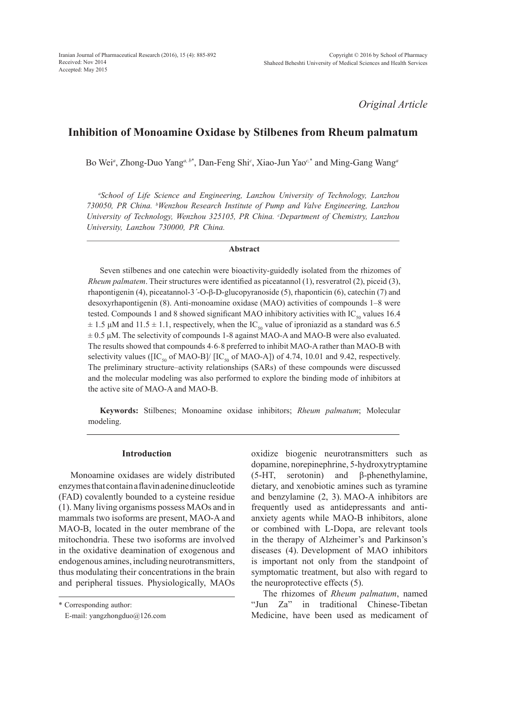*Original Article*

# **Inhibition of Monoamine Oxidase by Stilbenes from Rheum palmatum**

Bo Wei*<sup>a</sup>* , Zhong-Duo Yang*a, <sup>b</sup>*\* , Dan-Feng Shi*<sup>c</sup>* , Xiao-Jun Yao*c,*\* and Ming-Gang Wang*<sup>a</sup>*

*a School of Life Science and Engineering, Lanzhou University of Technology, Lanzhou 730050, PR China. b Wenzhou Research Institute of Pump and Valve Engineering, Lanzhou University of Technology, Wenzhou 325105, PR China. c Department of Chemistry, Lanzhou University, Lanzhou 730000, PR China.*

#### **Abstract**

Seven stilbenes and one catechin were bioactivity-guidedly isolated from the rhizomes of *Rheum palmatem*. Their structures were identified as piceatannol (1), resveratrol (2), piceid (3), rhapontigenin (4), piceatannol-3*´*-O-β-D-glucopyranoside (5), rhaponticin (6), catechin (7) and desoxyrhapontigenin (8). Anti-monoamine oxidase (MAO) activities of compounds 1–8 were tested. Compounds 1 and 8 showed significant MAO inhibitory activities with  $IC_{50}$  values 16.4  $\pm$  1.5  $\mu$ M and 11.5  $\pm$  1.1, respectively, when the IC<sub>50</sub> value of iproniazid as a standard was 6.5  $\pm$  0.5 μM. The selectivity of compounds 1-8 against MAO-A and MAO-B were also evaluated. The results showed that compounds 4⋅6⋅8 preferred to inhibit MAO-A rather than MAO-B with selectivity values ( $\text{[IC}_{50}$  of MAO-B]/  $\text{[IC}_{50}$  of MAO-A]) of 4.74, 10.01 and 9.42, respectively. The preliminary structure–activity relationships (SARs) of these compounds were discussed and the molecular modeling was also performed to explore the binding mode of inhibitors at the active site of MAO-A and MAO-B.

**Keywords:** Stilbenes; Monoamine oxidase inhibitors; *Rheum palmatum*; Molecular modeling.

# **Introduction**

Monoamine oxidases are widely distributed enzymes that contain a flavin adenine dinucleotide (FAD) covalently bounded to a cysteine residue (1). Many living organisms possess MAOs and in mammals two isoforms are present, MAO-A and MAO-B, located in the outer membrane of the mitochondria. These two isoforms are involved in the oxidative deamination of exogenous and endogenous amines, including neurotransmitters, thus modulating their concentrations in the brain and peripheral tissues. Physiologically, MAOs oxidize biogenic neurotransmitters such as dopamine, norepinephrine, 5-hydroxytryptamine (5-HT, serotonin) and β-phenethylamine, dietary, and xenobiotic amines such as tyramine and benzylamine (2, 3). MAO-A inhibitors are frequently used as antidepressants and antianxiety agents while MAO-B inhibitors, alone or combined with L-Dopa, are relevant tools in the therapy of Alzheimer's and Parkinson's diseases (4). Development of MAO inhibitors is important not only from the standpoint of symptomatic treatment, but also with regard to the neuroprotective effects (5).

The rhizomes of *Rheum palmatum*, named "Jun Za" in traditional Chinese-Tibetan Medicine, have been used as medicament of

<sup>\*</sup> Corresponding author:

E-mail: yangzhongduo@126.com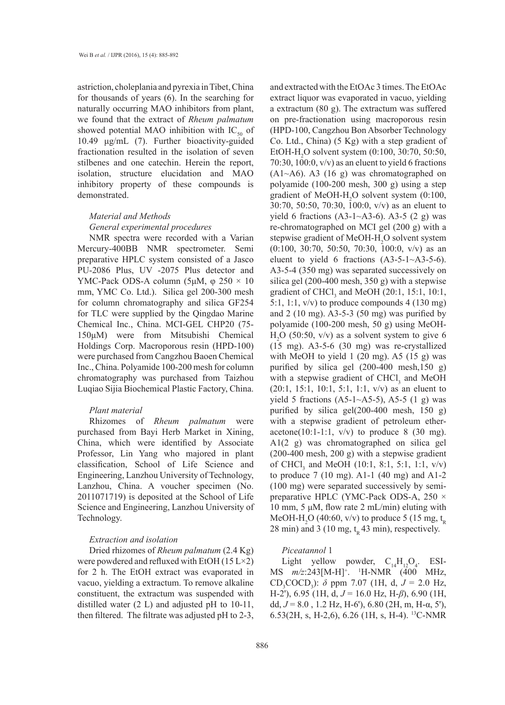astriction, choleplania and pyrexia in Tibet, China for thousands of years (6). In the searching for naturally occurring MAO inhibitors from plant, we found that the extract of *Rheum palmatum*  showed potential MAO inhibition with  $IC_{50}$  of 10.49 μg/mL (7). Further bioactivity-guided fractionation resulted in the isolation of seven stilbenes and one catechin. Herein the report, isolation, structure elucidation and MAO inhibitory property of these compounds is demonstrated.

# *Material and Methods General experimental procedures*

NMR spectra were recorded with a Varian Mercury-400BB NMR spectrometer. Semi preparative HPLC system consisted of a Jasco PU-2086 Plus, UV -2075 Plus detector and YMC-Pack ODS-A column (5μM,  $\varphi$  250  $\times$  10 mm, YMC Co. Ltd.). Silica gel 200-300 mesh for column chromatography and silica GF254 for TLC were supplied by the Qingdao Marine Chemical Inc., China. MCI-GEL CHP20 (75- 150μM) were from Mitsubishi Chemical Holdings Corp. Macroporous resin (HPD-100) were purchased from Cangzhou Baoen Chemical Inc., China. Polyamide 100-200 mesh for column chromatography was purchased from Taizhou Luqiao Sijia Biochemical Plastic Factory, China.

# *Plant material*

Rhizomes of *Rheum palmatum* were purchased from Bayi Herb Market in Xining, China, which were identified by Associate Professor, Lin Yang who majored in plant classification, School of Life Science and Engineering, Lanzhou University of Technology, Lanzhou, China. A voucher specimen (No. 2011071719) is deposited at the School of Life Science and Engineering, Lanzhou University of Technology.

#### *Extraction and isolation*

Dried rhizomes of *Rheum palmatum* (2.4 Kg) were powdered and refluxed with EtOH  $(15 L \times 2)$ for 2 h. The EtOH extract was evaporated in vacuo, yielding a extractum. To remove alkaline constituent, the extractum was suspended with distilled water (2 L) and adjusted pH to 10-11, then filtered. The filtrate was adjusted pH to 2-3,

and extracted with the EtOAc 3 times. The EtOAc extract liquor was evaporated in vacuo, yielding a extractum (80 g). The extractum was suffered on pre-fractionation using macroporous resin (HPD-100, Cangzhou Bon Absorber Technology Co. Ltd., China) (5 Kg) with a step gradient of EtOH-H<sub>2</sub>O solvent system (0:100, 30:70, 50:50, 70:30, 100:0, v/v) as an eluent to yield 6 fractions  $(A1~A6)$ . A3  $(16 g)$  was chromatographed on polyamide (100-200 mesh, 300 g) using a step gradient of MeOH- $H_2O$  solvent system (0:100, 30:70, 50:50, 70:30, 100:0, v/v) as an eluent to yield 6 fractions  $(A3-1~A3-6)$ .  $A3-5$   $(2 g)$  was re-chromatographed on MCI gel (200 g) with a stepwise gradient of MeOH-H<sub>2</sub>O solvent system  $(0:100, 30:70, 50:50, 70:30, 100:0, v/v)$  as an eluent to yield 6 fractions  $(A3-5-1-43-5-6)$ . A3-5-4 (350 mg) was separated successively on silica gel (200-400 mesh, 350 g) with a stepwise gradient of CHCl<sub>3</sub> and MeOH (20:1, 15:1, 10:1, 5:1, 1:1,  $v/v$ ) to produce compounds 4 (130 mg) and 2 (10 mg). A3-5-3 (50 mg) was purified by polyamide (100-200 mesh, 50 g) using MeOH- $H<sub>2</sub>O$  (50:50, v/v) as a solvent system to give 6 (15 mg). A3-5-6 (30 mg) was re-crystallized with MeOH to yield  $1$  (20 mg). A5 (15 g) was purified by silica gel (200-400 mesh,150 g) with a stepwise gradient of  $CHCl<sub>3</sub>$  and MeOH (20:1, 15:1, 10:1, 5:1, 1:1, v/v) as an eluent to yield 5 fractions  $(A5-1~A5-5)$ , A5-5  $(1 g)$  was purified by silica gel(200-400 mesh, 150 g) with a stepwise gradient of petroleum etheracetone(10:1-1:1,  $v/v$ ) to produce 8 (30 mg). A1(2 g) was chromatographed on silica gel (200-400 mesh, 200 g) with a stepwise gradient of CHCl<sub>3</sub> and MeOH (10:1, 8:1, 5:1, 1:1,  $v/v$ ) to produce 7 (10 mg). A1-1 (40 mg) and A1-2 (100 mg) were separated successively by semipreparative HPLC (YMC-Pack ODS-A, 250 × 10 mm, 5 μM, flow rate 2 mL/min) eluting with MeOH-H<sub>2</sub>O (40:60, v/v) to produce 5 (15 mg,  $t_R$ ) 28 min) and 3 (10 mg,  $t<sub>R</sub>$  43 min), respectively.

# *Piceatannol* 1

Light yellow powder,  $C_{14}H_{12}O_4$ . ESI-MS *m/z*:243[M-H]<sup>+</sup> . <sup>1</sup> H-NMR (400 MHz, CD<sub>3</sub>COCD<sub>3</sub>):  $\delta$  ppm 7.07 (1H, d,  $J = 2.0$  Hz, H-2'), 6.95 (1H, d, *J* = 16.0 Hz, H-*β*), 6.90 (1H, dd,  $J = 8.0$ , 1.2 Hz, H-6'), 6.80 (2H, m, H-α, 5'), 6.53(2H, s, H-2,6), 6.26 (1H, s, H-4). 13C-NMR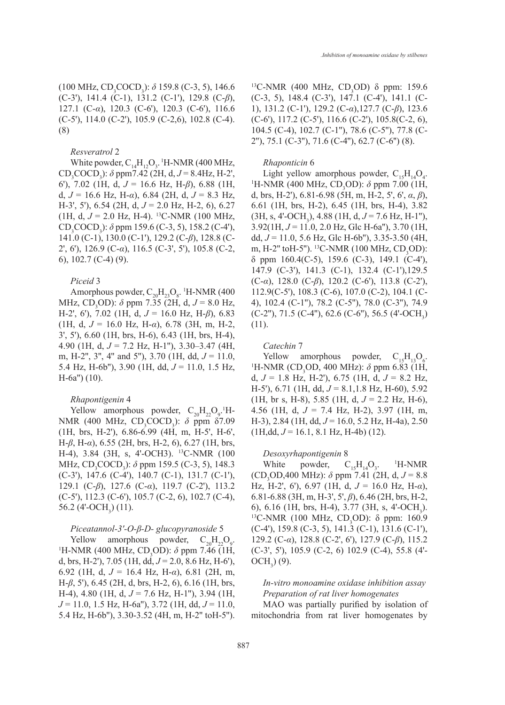(100 MHz, CD<sub>3</sub>COCD<sub>3</sub>): *δ* 159.8 (C-3, 5), 146.6 (C-3'), 141.4 (C-1), 131.2 (C-1'), 129.8 (C-*β*), 127.1 (C-*α*), 120.3 (C-6'), 120.3 (C-6'), 116.6 (C-5'), 114.0 (C-2'), 105.9 (C-2,6), 102.8 (C-4). (8)

#### *Resveratrol* 2

White powder,  $C_{14}H_{12}O_3$ . <sup>1</sup>H-NMR (400 MHz, CD<sub>3</sub>COCD<sub>3</sub>):  $\delta$  ppm7.42 (2H, d,  $J = 8.4$ Hz, H-2', 6'), 7.02 (1H, d, *J* = 16.6 Hz, H-*β*), 6.88 (1H, d, *J* = 16.6 Hz, H-*α*), 6.84 (2H, d, *J* = 8.3 Hz, H-3', 5'), 6.54 (2H, d, *J* = 2.0 Hz, H-2, 6), 6.27 (1H, d,  $J = 2.0$  Hz, H-4). <sup>13</sup>C-NMR (100 MHz, CD<sub>3</sub>COCD<sub>3</sub>):  $\delta$  ppm 159.6 (C-3, 5), 158.2 (C-4'), 141.0 (C-1), 130.0 (C-1'), 129.2 (C-*β*), 128.8 (C-2', 6'), 126.9 (C-*α*), 116.5 (C-3', 5'), 105.8 (C-2, 6), 102.7 (C-4) (9).

#### *Piceid* 3

Amorphous powder,  $C_{20}H_{23}O_8$ . <sup>1</sup>H-NMR (400 MHz, CD<sub>3</sub>OD): *δ* ppm 7.35 (2H, d, *J* = 8.0 Hz, H-2', 6'), 7.02 (1H, d, *J* = 16.0 Hz, H-*β*), 6.83 (1H, d, *J* = 16.0 Hz, H-*α*), 6.78 (3H, m, H-2, 3', 5'), 6.60 (1H, brs, H-6), 6.43 (1H, brs, H-4), 4.90 (1H, d, *J* = 7.2 Hz, H-1''), 3.30–3.47 (4H, m, H-2'', 3'', 4'' and 5''), 3.70 (1H, dd, *J* = 11.0, 5.4 Hz, H-6b''), 3.90 (1H, dd, *J* = 11.0, 1.5 Hz, H-6a'') (10).

#### *Rhapontigenin* 4

Yellow amorphous powder,  $C_{20}H_{22}O_9$ .<sup>1</sup>H-NMR (400 MHz, CD<sub>3</sub>COCD<sub>3</sub>): *δ* ppm δ7.09 (1H, brs, H-2'), 6.86-6.99 (4H, m, H-5', H-6', H-*β*, H-*α*), 6.55 (2H, brs, H-2, 6), 6.27 (1H, brs, H-4), 3.84 (3H, s, 4'-OCH3). 13C-NMR (100 MHz, CD<sub>3</sub>COCD<sub>3</sub>): *δ* ppm 159.5 (C-3, 5), 148.3 (C-3'), 147.6 (C-4'), 140.7 (C-1), 131.7 (C-1'), 129.1 (C-*β*), 127.6 (C-*α*), 119.7 (C-2'), 113.2 (C-5'), 112.3 (C-6'), 105.7 (C-2, 6), 102.7 (C-4), 56.2 (4'-OCH<sub>3</sub>) (11).

# *Piceatannol-3'-O-β-D- glucopyranoside* 5

Yellow amorphous powder,  $C_{20}H_{22}O_9$ . <sup>1</sup>H-NMR (400 MHz, CD<sub>3</sub>OD):  $\delta$  ppm 7.46 (1H, d, brs, H-2'), 7.05 (1H, dd, *J* = 2.0, 8.6 Hz, H-6'), 6.92 (1H, d, *J* = 16.4 Hz, H-*α*), 6.81 (2H, m, H-*β*, 5'), 6.45 (2H, d, brs, H-2, 6), 6.16 (1H, brs, H-4), 4.80 (1H, d, *J* = 7.6 Hz, H-1''), 3.94 (1H, *J* = 11.0, 1.5 Hz, H-6a''), 3.72 (1H, dd, *J* = 11.0, 5.4 Hz, H-6b''), 3.30-3.52 (4H, m, H-2'' toH-5'').

<sup>13</sup>C-NMR (400 MHz, CD<sub>3</sub>OD) δ ppm: 159.6 (C-3, 5), 148.4 (C-3'), 147.1 (C-4'), 141.1 (C-1), 131.2 (C-1'), 129.2 (C-*α*),127.7 (C-*β*), 123.6  $(C-6)$ , 117.2  $(C-5)$ , 116.6  $(C-2)$ , 105.8  $(C-2, 6)$ , 104.5 (C-4), 102.7 (C-1''), 78.6 (C-5''), 77.8 (C-2''), 75.1 (C-3''), 71.6 (C-4''), 62.7 (C-6'') (8).

#### *Rhaponticin* 6

Light yellow amorphous powder,  $C_{15}H_{14}O_4$ . <sup>1</sup>H-NMR (400 MHz, CD<sub>3</sub>OD):  $\delta$  ppm 7.00 (1H, d, brs, H-2'), 6.81-6.98 (5H, m, H-2, 5', 6', *α*, *β*), 6.61 (1H, brs, H-2), 6.45 (1H, brs, H-4), 3.82  $(3H, s, 4'-OCH_3)$ , 4.88 (1H, d,  $J = 7.6$  Hz, H-1"), 3.92(1H, *J* = 11.0, 2.0 Hz, Glc H-6a''), 3.70 (1H, dd, *J* = 11.0, 5.6 Hz, Glc H-6b''), 3.35-3.50 (4H, m, H-2" toH-5"). <sup>13</sup>C-NMR (100 MHz, CD<sub>3</sub>OD): δ ppm 160.4(C-5), 159.6 (C-3), 149.1 (C-4'), 147.9 (C-3'), 141.3 (C-1), 132.4 (C-1'),129.5 (C-*α*), 128.0 (C-*β*), 120.2 (C-6'), 113.8 (C-2'), 112.9(C-5'), 108.3 (C-6), 107.0 (C-2), 104.1 (C-4), 102.4 (C-1''), 78.2 (C-5''), 78.0 (C-3''), 74.9  $(C-2'')$ , 71.5  $(C-4'')$ , 62.6  $(C-6'')$ , 56.5  $(4'-OCH_3)$ (11).

#### *Catechin* 7

Yellow amorphous powder,  $C_{15}H_{13}O_6$ . <sup>1</sup>H-NMR (CD<sub>3</sub>OD, 400 MHz):  $\delta$  ppm 6.83 (1H, d, *J* = 1.8 Hz, H-2'), 6.75 (1H, d, *J* = 8.2 Hz, H-5'), 6.71 (1H, dd, *J* = 8.1,1.8 Hz, H-60), 5.92 (1H, br s, H-8), 5.85 (1H, d, *J* = 2.2 Hz, H-6), 4.56 (1H, d, *J* = 7.4 Hz, H-2), 3.97 (1H, m, H-3), 2.84 (1H, dd, *J* = 16.0, 5.2 Hz, H-4a), 2.50  $(H, dd, J = 16.1, 8.1 Hz, H-4b)$  (12).

#### *Desoxyrhapontigenin* 8

White powder,  $C_{15}H_{14}O_3$ . <sup>1</sup> H-NMR (CD3 OD,400 MHz): *δ* ppm 7.41 (2H, d, *J* = 8.8 Hz, H-2', 6'), 6.97 (1H, d, *J* = 16.0 Hz, H-*α*), 6.81-6.88 (3H, m, H-3', 5', *β*), 6.46 (2H, brs, H-2, 6),  $6.16$  (1H, brs, H-4),  $3.77$  (3H, s, 4'-OCH<sub>3</sub>). 6), 6.16 (1H, brs, H-4), 3.77 (3H, s, 4'-OCH<sub>3</sub>).<br><sup>13</sup>C-NMR (100 MHz, CD<sub>3</sub>OD):  $\delta$  ppm: 160.9 (C-4'), 159.8 (C-3, 5), 141.3 (C-1), 131.6 (C-1'), 129.2 (C-*α*), 128.8 (C-2', 6'), 127.9 (C-*β*), 115.2 (C-3', 5'), 105.9 (C-2, 6) 102.9 (C-4), 55.8 (4'- OCH<sub>3</sub> $)$  (9).

# *In-vitro monoamine oxidase inhibition assay Preparation of rat liver homogenates*

MAO was partially purified by isolation of mitochondria from rat liver homogenates by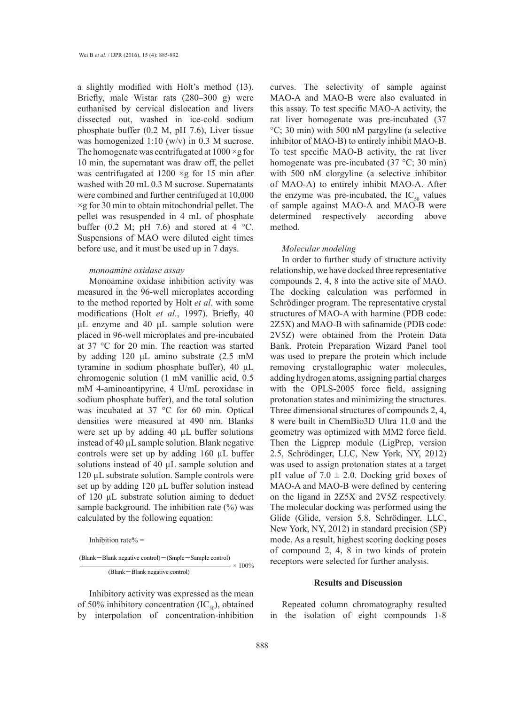a slightly modified with Holt's method (13). Briefly, male Wistar rats (280–300 g) were euthanised by cervical dislocation and livers dissected out, washed in ice-cold sodium phosphate buffer (0.2 M, pH 7.6), Liver tissue was homogenized 1:10 (w/v) in 0.3 M sucrose. The homogenate was centrifugated at  $1000 \times g$  for 10 min, the supernatant was draw off, the pellet was centrifugated at  $1200 \times g$  for 15 min after washed with 20 mL 0.3 M sucrose. Supernatants were combined and further centrifuged at 10,000  $\times$ g for 30 min to obtain mitochondrial pellet. The pellet was resuspended in 4 mL of phosphate buffer (0.2 M; pH 7.6) and stored at 4  $^{\circ}$ C. Suspensions of MAO were diluted eight times before use, and it must be used up in 7 days.

# *monoamine oxidase assay*

Monoamine oxidase inhibition activity was measured in the 96-well microplates according to the method reported by Holt *et al*. with some modifications (Holt *et al*., 1997). Briefly, 40 μL enzyme and 40 μL sample solution were placed in 96-well microplates and pre-incubated at 37 °C for 20 min. The reaction was started by adding 120 μL amino substrate (2.5 mM tyramine in sodium phosphate buffer), 40 μL chromogenic solution (1 mM vanillic acid, 0.5 add mM 4-aminoantipyrine, 4 U/mL peroxidase in sodium phosphate buffer), and the total solution was incubated at 37  $\degree$ C for 60 min. Optical Thre densities were measured at 490 nm. Blanks were set up by adding 40 µL buffer solutions instead of  $40 \mu L$  sample solution. Blank negative controls were set up by adding 160  $\mu$ L buffer 2.5, solutions instead of 40  $\mu$ L sample solution and was 120 µL substrate solution. Sample controls were set up by adding  $120 \mu L$  buffer solution instead MA of 120  $\mu$ L substrate solution aiming to deduct on the sample background. The inhibition rate  $(\%)$  was  $\frac{1}{2}$  calculated by the following equation:

Inhibition rate%  $=$ 

$$
\frac{\text{(Blank–Blank negative control)} - \text{(Smple–Sample control)}}{\text{(Blank–Blank negative control)}} \times 100\%
$$

Inhibitory activity was expressed as the mean of 50% inhibitory concentration  $(IC_{50})$ , obtained R by interpolation of concentration-inhibition in t

curves. The selectivity of sample against MAO-A and MAO-B were also evaluated in this assay. To test specific MAO-A activity, the rat liver homogenate was pre-incubated (37 °C; 30 min) with 500 nM pargyline (a selective inhibitor of MAO-B) to entirely inhibit MAO-B. To test specific MAO-B activity, the rat liver homogenate was pre-incubated (37 °C; 30 min) with 500 nM clorgyline (a selective inhibitor of MAO-A) to entirely inhibit MAO-A. After the enzyme was pre-incubated, the  $IC_{50}$  values of sample against MAO-A and MAO-B were determined respectively according above method.

#### *Molecular modeling*

In order to further study of structure activity relationship, we have docked three representative compounds 2, 4, 8 into the active site of MAO. The docking calculation was performed in Schrödinger program. The representative crystal structures of MAO-A with harmine (PDB code: 2Z5X) and MAO-B with safinamide (PDB code: 2V5Z) were obtained from the Protein Data Bank. Protein Preparation Wizard Panel tool was used to prepare the protein which include removing crystallographic water molecules, adding hydrogen atoms, assigning partial charges with the OPLS-2005 force field, assigning protonation states and minimizing the structures. Three dimensional structures of compounds 2, 4, 8 were built in ChemBio3D Ultra 11.0 and the geometry was optimized with MM2 force field. Then the Ligprep module (LigPrep, version 2.5, Schrödinger, LLC, New York, NY, 2012) was used to assign protonation states at a target pH value of  $7.0 \pm 2.0$ . Docking grid boxes of MAO-A and MAO-B were defined by centering on the ligand in 2Z5X and 2V5Z respectively. The molecular docking was performed using the Glide (Glide, version 5.8, Schrödinger, LLC, New York, NY, 2012) in standard precision (SP) mode. As a result, highest scoring docking poses of compound 2, 4, 8 in two kinds of protein receptors were selected for further analysis.

#### **Results and Discussion**

Repeated column chromatography resulted in the isolation of eight compounds 1-8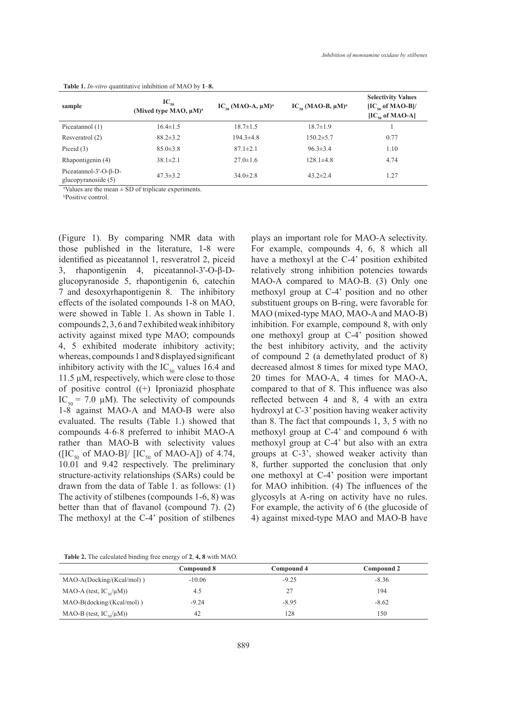| sample                                                   | $\text{IC}_{50}$<br>(Mixed type MAO, µM) <sup>a</sup> | $IC_{so}$ (MAO-A, $\mu$ M) <sup>a</sup> | $IC_{so}$ (MAO-B, $\mu$ M) <sup>a</sup> | <b>Selectivity Values</b><br>$[IC_{\kappa_0}$ of MAO-B]/<br>$[IC_{\kappa_0}$ of MAO-A] |
|----------------------------------------------------------|-------------------------------------------------------|-----------------------------------------|-----------------------------------------|----------------------------------------------------------------------------------------|
| Piceatannol (1)                                          | $16.4 \pm 1.5$                                        | $18.7 \pm 1.5$                          | $18.7 \pm 1.9$                          |                                                                                        |
| Resveratrol (2)                                          | $88.2 \pm 3.2$                                        | $194.3 \pm 4.8$                         | $150.2 \pm 5.7$                         | 0.77                                                                                   |
| Piceid $(3)$                                             | $85.0 \pm 3.8$                                        | $87.1 \pm 2.1$                          | $96.3 \pm 3.4$                          | 1.10                                                                                   |
| Rhapontigenin (4)                                        | $38.1 \pm 2.1$                                        | $27.0 \pm 1.6$                          | $128.1 \pm 4.8$                         | 4.74                                                                                   |
| Piceatannol- $3'-O$ - $\beta$ -D-<br>glucopyranoside (5) | $47.3 \pm 3.2$                                        | $34.0 \pm 2.8$                          | $43.2 \pm 2.4$                          | 1.27                                                                                   |

**Table 1.** *In-vitro* quantitative inhibition of MAO by **1**–**8.**

a Values are the mean ± SD of triplicate experiments.

b Positive control.

(Figure 1). By comparing NMR data with those published in the literature, 1-8 were identified as piceatannol 1, resveratrol 2, piceid 3, rhapontigenin 4, piceatannol-3'-O-β-Dglucopyranoside 5, rhapontigenin 6, catechin 7 and desoxyrhapontigenin 8. The inhibitory effects of the isolated compounds 1-8 on MAO, were showed in Table 1. As shown in Table 1. compounds 2, 3, 6 and 7 exhibited weak inhibitory activity against mixed type MAO; compounds 4, 5 exhibited moderate inhibitory activity; whereas, compounds 1 and 8 displayed significant inhibitory activity with the  $IC_{50}$  values 16.4 and 11.5 µM, respectively, which were close to those of positive control ((+) Iproniazid phosphate IC<sub>50</sub> = 7.0  $\mu$ M). The selectivity of compounds 1-8 against MAO-A and MAO-B were also evaluated. The results (Table 1.) showed that compounds 4˴6˴8 preferred to inhibit MAO-A rather than MAO-B with selectivity values ( $[IC_{50}$  of MAO-B]/  $[IC_{50}$  of MAO-A]) of 4.74, 10.01 and 9.42 respectively. The preliminary structure-activity relationships (SARs) could be drawn from the data of Table 1. as follows: (1) The activity of stilbenes (compounds 1-6, 8) was better than that of flavanol (compound 7). (2) The methoxyl at the C-4' position of stilbenes plays an important role for MAO-A selectivity. For example, compounds 4, 6, 8 which all have a methoxyl at the C-4' position exhibited relatively strong inhibition potencies towards MAO-A compared to MAO-B. (3) Only one methoxyl group at C-4' position and no other substituent groups on B-ring, were favorable for MAO (mixed-type MAO, MAO-A and MAO-B) inhibition. For example, compound 8, with only one methoxyl group at C-4' position showed the best inhibitory activity, and the activity of compound 2 (a demethylated product of 8) decreased almost 8 times for mixed type MAO, 20 times for MAO-A, 4 times for MAO-A, compared to that of 8. This influence was also reflected between 4 and 8, 4 with an extra hydroxyl at C-3' position having weaker activity than 8. The fact that compounds 1, 3, 5 with no methoxyl group at C-4' and compound 6 with methoxyl group at C-4' but also with an extra groups at C-3', showed weaker activity than 8, further supported the conclusion that only one methoxyl at C-4' position were important for MAO inhibition. (4) The influences of the glycosyls at A-ring on activity have no rules. For example, the activity of 6 (the glucoside of 4) against mixed-type MAO and MAO-B have

**Table 2.** The calculated binding free energy of **2**, **4, 8** with MAO.

|                                 | Compound 8 | Compound 4 | Compound 2 |
|---------------------------------|------------|------------|------------|
| $MAO-A(Docking/(Kcal/mol))$     | $-10.06$   | $-9.25$    | $-8.36$    |
| MAO-A (test, $IC_{s0}/\mu M$ )) | 4.5        | 27         | 194        |
| $MAO-B(docking/(Kcal/mol))$     | $-9.24$    | $-8.95$    | $-8.62$    |
| MAO-B (test, $IC_{s0}/\mu M$ )) | 42         | 128        | 150        |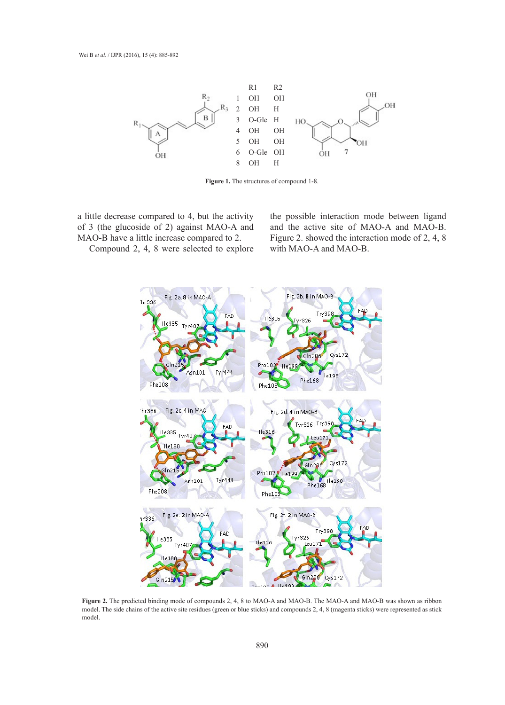

**Figure 1.** The structures of compound 1-8.

a little decrease compared to 4, but the activity of 3 (the glucoside of 2) against MAO-A and MAO-B have a little increase compared to 2.

Compound 2, 4, 8 were selected to explore

the possible interaction mode between ligand and the active site of MAO-A and MAO-B. Figure 2. showed the interaction mode of 2, 4, 8 with MAO-A and MAO-B.



**Figure 2.** The predicted binding mode of compounds 2, 4, 8 to MAO-A and MAO-B. The MAO-A and MAO-B was shown as ribbon model. The side chains of the active site residues (green or blue sticks) and compounds 2, 4, 8 (magenta sticks) were represented as stick model.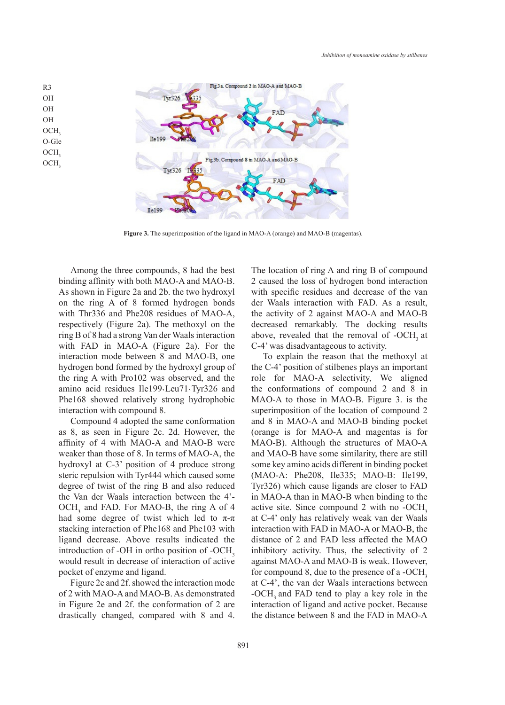

**Figure 3.** The superimposition of the ligand in MAO-A (orange) and MAO-B (magentas).

Among the three compounds, 8 had the best binding affinity with both MAO-A and MAO-B. As shown in Figure 2a and 2b. the two hydroxyl on the ring A of 8 formed hydrogen bonds with Thr336 and Phe208 residues of MAO-A, respectively (Figure 2a). The methoxyl on the ring B of 8 had a strong Van der Waals interaction with FAD in MAO-A (Figure 2a). For the interaction mode between 8 and MAO-B, one hydrogen bond formed by the hydroxyl group of the ring A with Pro102 was observed, and the amino acid residues Ile199<sub>\Leu71</sub>, Tyr326 and Phe168 showed relatively strong hydrophobic interaction with compound 8.

R3 OH OH OH

> Compound 4 adopted the same conformation as 8, as seen in Figure 2c. 2d. However, the affinity of 4 with MAO-A and MAO-B were weaker than those of 8. In terms of MAO-A, the hydroxyl at C-3' position of 4 produce strong steric repulsion with Tyr444 which caused some degree of twist of the ring B and also reduced the Van der Waals interaction between the 4'-  $OCH<sub>3</sub>$  and FAD. For MAO-B, the ring A of 4 had some degree of twist which led to  $\pi$ - $\pi$ stacking interaction of Phe168 and Phe103 with ligand decrease. Above results indicated the introduction of -OH in ortho position of -OCH<sub>3</sub> would result in decrease of interaction of active pocket of enzyme and ligand.

> Figure 2e and 2f. showed the interaction mode of 2 with MAO-A and MAO-B. As demonstrated in Figure 2e and 2f. the conformation of 2 are drastically changed, compared with 8 and 4.

The location of ring A and ring B of compound 2 caused the loss of hydrogen bond interaction with specific residues and decrease of the van der Waals interaction with FAD. As a result, the activity of 2 against MAO-A and MAO-B decreased remarkably. The docking results above, revealed that the removal of -OCH<sub>3</sub> at C-4' was disadvantageous to activity.

To explain the reason that the methoxyl at the C-4' position of stilbenes plays an important role for MAO-A selectivity, We aligned the conformations of compound 2 and 8 in MAO-A to those in MAO-B. Figure 3. is the superimposition of the location of compound 2 and 8 in MAO-A and MAO-B binding pocket (orange is for MAO-A and magentas is for MAO-B). Although the structures of MAO-A and MAO-B have some similarity, there are still some key amino acids different in binding pocket (MAO-A: Phe208, Ile335; MAO-B: Ile199, Tyr326) which cause ligands are closer to FAD in MAO-A than in MAO-B when binding to the active site. Since compound 2 with no -OCH<sub>3</sub> at C-4' only has relatively weak van der Waals interaction with FAD in MAO-A or MAO-B, the distance of 2 and FAD less affected the MAO inhibitory activity. Thus, the selectivity of 2 against MAO-A and MAO-B is weak. However, for compound 8, due to the presence of a -OCH<sub>3</sub> at C-4', the van der Waals interactions between -OCH<sub>3</sub> and FAD tend to play a key role in the interaction of ligand and active pocket. Because the distance between 8 and the FAD in MAO-A